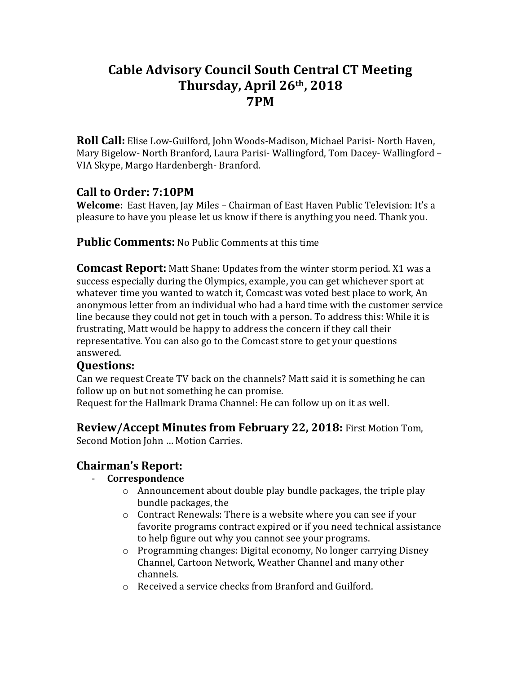# **Cable Advisory Council South Central CT Meeting Thursday, April 26th, 2018 7PM**

**Roll Call:** Elise Low-Guilford, John Woods-Madison, Michael Parisi- North Haven, Mary Bigelow- North Branford, Laura Parisi- Wallingford, Tom Dacey- Wallingford – VIA Skype, Margo Hardenbergh- Branford.

# **Call to Order: 7:10PM**

**Welcome:** East Haven, Jay Miles – Chairman of East Haven Public Television: It's a pleasure to have you please let us know if there is anything you need. Thank you.

**Public Comments:** No Public Comments at this time

**Comcast Report:** Matt Shane: Updates from the winter storm period. X1 was a success especially during the Olympics, example, you can get whichever sport at whatever time you wanted to watch it, Comcast was voted best place to work, An anonymous letter from an individual who had a hard time with the customer service line because they could not get in touch with a person. To address this: While it is frustrating, Matt would be happy to address the concern if they call their representative. You can also go to the Comcast store to get your questions answered.

### **Questions:**

Can we request Create TV back on the channels? Matt said it is something he can follow up on but not something he can promise.

Request for the Hallmark Drama Channel: He can follow up on it as well.

### **Review/Accept Minutes from February 22, 2018:** First Motion Tom,

Second Motion John … Motion Carries.

# **Chairman's Report:**

#### - **Correspondence**

- o Announcement about double play bundle packages, the triple play bundle packages, the
- o Contract Renewals: There is a website where you can see if your favorite programs contract expired or if you need technical assistance to help figure out why you cannot see your programs.
- o Programming changes: Digital economy, No longer carrying Disney Channel, Cartoon Network, Weather Channel and many other channels.
- o Received a service checks from Branford and Guilford.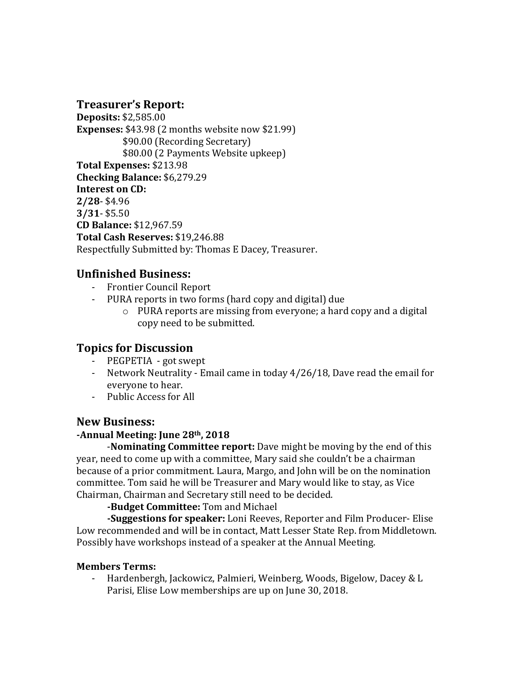### **Treasurer's Report:**

**Deposits:** \$2,585.00 **Expenses:** \$43.98 (2 months website now \$21.99) \$90.00 (Recording Secretary) \$80.00 (2 Payments Website upkeep) **Total Expenses:** \$213.98 **Checking Balance:** \$6,279.29 **Interest on CD: 2/28**- \$4.96 **3/31**- \$5.50 **CD Balance:** \$12,967.59 **Total Cash Reserves:** \$19,246.88 Respectfully Submitted by: Thomas E Dacey, Treasurer.

### **Unfinished Business:**

- Frontier Council Report
- PURA reports in two forms (hard copy and digital) due
	- o PURA reports are missing from everyone; a hard copy and a digital copy need to be submitted.

# **Topics for Discussion**

- PEGPETIA got swept
- Network Neutrality Email came in today 4/26/18, Dave read the email for everyone to hear.
- Public Access for All

#### **New Business:**

#### **-Annual Meeting: June 28th, 2018**

 -**Nominating Committee report:** Dave might be moving by the end of this year, need to come up with a committee, Mary said she couldn't be a chairman because of a prior commitment. Laura, Margo, and John will be on the nomination committee. Tom said he will be Treasurer and Mary would like to stay, as Vice Chairman, Chairman and Secretary still need to be decided.

**-Budget Committee:** Tom and Michael

**-Suggestions for speaker:** Loni Reeves, Reporter and Film Producer- Elise Low recommended and will be in contact, Matt Lesser State Rep. from Middletown. Possibly have workshops instead of a speaker at the Annual Meeting.

#### **Members Terms:**

- Hardenbergh, Jackowicz, Palmieri, Weinberg, Woods, Bigelow, Dacey & L Parisi, Elise Low memberships are up on June 30, 2018.